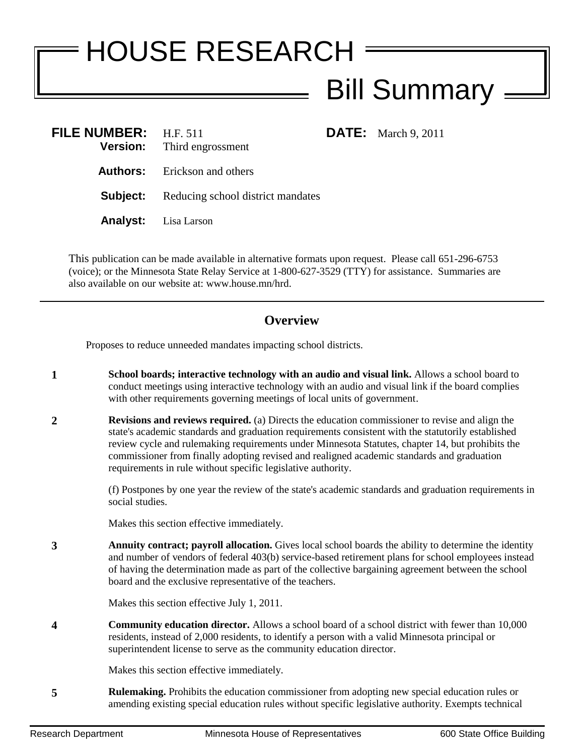## HOUSE RESEARCH Bill Summary

**FILE:** March 9, 2011

| <b>FILE NUMBER:</b> | H.F. 511<br><b>Version:</b> Third engrossment     |
|---------------------|---------------------------------------------------|
|                     | <b>Authors:</b> Erickson and others               |
|                     | <b>Subject:</b> Reducing school district mandates |
|                     | <b>Analyst:</b> Lisa Larson                       |

This publication can be made available in alternative formats upon request. Please call 651-296-6753 (voice); or the Minnesota State Relay Service at 1-800-627-3529 (TTY) for assistance. Summaries are also available on our website at: www.house.mn/hrd.

## **Overview**

Proposes to reduce unneeded mandates impacting school districts.

- **1 School boards; interactive technology with an audio and visual link.** Allows a school board to conduct meetings using interactive technology with an audio and visual link if the board complies with other requirements governing meetings of local units of government.
- **2 Revisions and reviews required.** (a) Directs the education commissioner to revise and align the state's academic standards and graduation requirements consistent with the statutorily established review cycle and rulemaking requirements under Minnesota Statutes, chapter 14, but prohibits the commissioner from finally adopting revised and realigned academic standards and graduation requirements in rule without specific legislative authority.

(f) Postpones by one year the review of the state's academic standards and graduation requirements in social studies.

Makes this section effective immediately.

**3 Annuity contract; payroll allocation.** Gives local school boards the ability to determine the identity and number of vendors of federal 403(b) service-based retirement plans for school employees instead of having the determination made as part of the collective bargaining agreement between the school board and the exclusive representative of the teachers.

Makes this section effective July 1, 2011.

**4 Community education director.** Allows a school board of a school district with fewer than 10,000 residents, instead of 2,000 residents, to identify a person with a valid Minnesota principal or superintendent license to serve as the community education director.

Makes this section effective immediately.

**5 Rulemaking.** Prohibits the education commissioner from adopting new special education rules or amending existing special education rules without specific legislative authority. Exempts technical